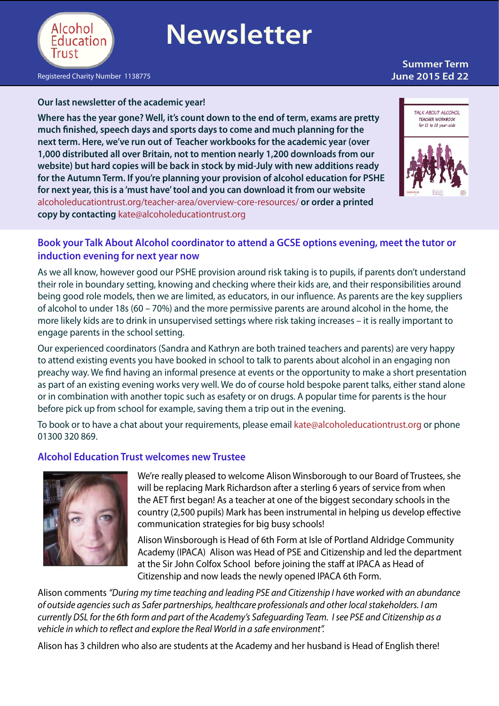

# **Newsletter**

## **Summer Term**

[Registered](http://www.alcoholeducationtrust.org/teacher-area/) Charity Number 1138775 **June 2015 Ed 22**

#### **Our last newsletter of the academic year!**

**Where has the year gone? Well, it's count down to the end of term, exams are pretty much finished, speech days and sports days to come and much planning for the next term. Here, we've run out of Teacher workbooks for the academic year (over 1,000 distributed all over Britain, not to mention nearly 1,200 downloads from our website) but hard copies will be back in stock by mid-July with new additions ready for the Autumn Term. If you're planning your provision of alcohol education for PSHE for next year, this is a 'must have' tool and you can download it from our website**  [alcoholeducationtrust.org/teacher-area/overview-core-resources/](http://alcoholeducationtrust.org/teacher-area/overview-core-resources/) **or order a printed copy by contacting** [kate@alcoholeducationtrust.org](mailto:kate@alcoholeducationtrust.org )



### **Book your Talk About Alcohol coordinator to attend a GCSE options evening, meet the tutor or induction evening for next year now**

As we all know, however good our PSHE provision around risk taking is to pupils, if parents don't understand their role in boundary setting, knowing and checking where their kids are, and their responsibilities around being good role models, then we are limited, as educators, in our influence. As parents are the key suppliers of alcohol to under 18s (60 – 70%) and the more permissive parents are around alcohol in the home, the more likely kids are to drink in unsupervised settings where risk taking increases – it is really important to engage parents in the school setting.

Our experienced coordinators (Sandra and Kathryn are both trained teachers and parents) are very happy to attend existing events you have booked in school to talk to parents about alcohol in an engaging non preachy way. We find having an informal presence at events or the opportunity to make a short presentation as part of an existing evening works very well. We do of course hold bespoke parent talks, either stand alone or in combination with another topic such as esafety or on drugs. A popular time for parents is the hour before pick up from school for example, saving them a trip out in the evening.

To book or to have a chat about your requirements, please email [kate@alcoholeducationtrust.org](mailto:kate@alcoholeducationtrust.org) or phone 01300 320 869.

#### **Alcohol Education Trust welcomes new Trustee**



We're really pleased to welcome Alison Winsborough to our Board of Trustees, she will be replacing Mark Richardson after a sterling 6 years of service from when the AET first began! As a teacher at one of the biggest secondary schools in the country (2,500 pupils) Mark has been instrumental in helping us develop effective communication strategies for big busy schools!

Alison Winsborough is Head of 6th Form at Isle of Portland Aldridge Community Academy (IPACA) Alison was Head of PSE and Citizenship and led the department at the Sir John Colfox School before joining the staff at IPACA as Head of Citizenship and now leads the newly opened IPACA 6th Form.

Alison comments *"During my time teaching and leading PSE and Citizenship I have worked with an abundance of outside agencies such as Safer partnerships, healthcare professionals and other local stakeholders. I am currently DSL for the 6th form and part of the Academy's Safeguarding Team. I see PSE and Citizenship as a vehicle in which to reflect and explore the Real World in a safe environment".* 

Alison has 3 children who also are students at the Academy and her husband is Head of English there!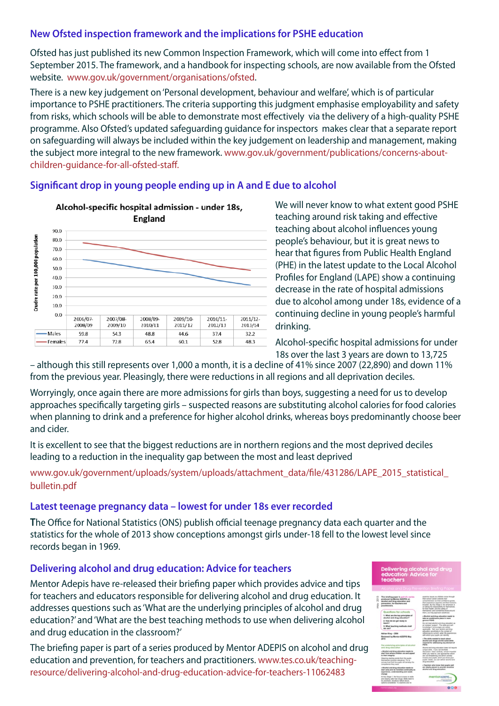#### **New Ofsted inspection framework and the implications for PSHE education**

Ofsted has just published its new Common Inspection Framework, which will come into effect from 1 September 2015. The framework, and a handbook for inspecting schools, are now available from the Ofsted website. [www.gov.uk/government/organisations/ofsted.](https://www.gov.uk/government/organisations/ofsted)

There is a new key judgement on'Personal development, behaviour and welfare', which is of particular importance to PSHE practitioners. The criteria supporting this judgment emphasise employability and safety from risks, which schools will be able to demonstrate most effectively via the delivery of a high-quality PSHE programme. Also Ofsted's updated safeguarding guidance for inspectors makes clear that a separate report on safeguarding will always be included within the key judgement on leadership and management, making the subject more integral to the new framework. [www.gov.uk/government/publications/concerns-about](https://www.gov.uk/government/publications/concerns-about-children-guidance-for-all-ofsted-staff)[children-guidance-for-all-ofsted-staff](https://www.gov.uk/government/publications/concerns-about-children-guidance-for-all-ofsted-staff).

#### **Significant drop in young people ending up in A and E due to alcohol**



We will never know to what extent good PSHE teaching around risk taking and effective teaching about alcohol influences young people's behaviour, but it is great news to hear that figures from Public Health England (PHE) in the latest update to the Local Alcohol Profiles for England (LAPE) show a continuing decrease in the rate of hospital admissions due to alcohol among under 18s, evidence of a continuing decline in young people's harmful drinking.

Alcohol-specific hospital admissions for under 18s over the last 3 years are down to 13,725

– although this still represents over 1,000 a month, it is a decline of 41% since 2007 (22,890) and down 11% from the previous year. Pleasingly, there were reductions in all regions and all deprivation deciles.

Worryingly, once again there are more admissions for girls than boys, suggesting a need for us to develop approaches specifically targeting girls – suspected reasons are substituting alcohol calories for food calories when planning to drink and a preference for higher alcohol drinks, whereas boys predominantly choose beer and cider.

It is excellent to see that the biggest reductions are in northern regions and the most deprived deciles leading to a reduction in the inequality gap between the most and least deprived

[www.gov.uk/government/uploads/system/uploads/attachment\\_data/file/431286/LAPE\\_2015\\_statistical\\_](https://www.gov.uk/government/uploads/system/uploads/attachment_data/file/431286/LAPE_2015_statistical_bulletin.pdf) [bulletin.pdf](https://www.gov.uk/government/uploads/system/uploads/attachment_data/file/431286/LAPE_2015_statistical_bulletin.pdf)

#### **Latest teenage pregnancy data – lowest for under 18s ever recorded**

**T**he Office for National Statistics (ONS) publish official teenage pregnancy data each quarter and the statistics for the whole of 2013 show conceptions amongst girls under-18 fell to the lowest level since records began in 1969.

#### **Delivering alcohol and drug education: Advice for teachers**

Mentor Adepis have re-released their briefing paper which provides advice and tips for teachers and educators responsible for delivering alcohol and drug education. It addresses questions such as'What are the underlying principles of alcohol and drug education?' and'What are the best teaching methods to use when delivering alcohol and drug education in the classroom?'

The briefing paper is part of a series produced by Mentor ADEPIS on alcohol and drug education and prevention, for teachers and practitioners. [www.tes.co.uk/teaching](https://www.tes.co.uk/teaching-resource/delivering-alcohol-and-drug-education-advice-for-teachers-11062483)[resource/delivering-alcohol-and-drug-education-advice-for-teachers-11062483](https://www.tes.co.uk/teaching-resource/delivering-alcohol-and-drug-education-advice-for-teachers-11062483)

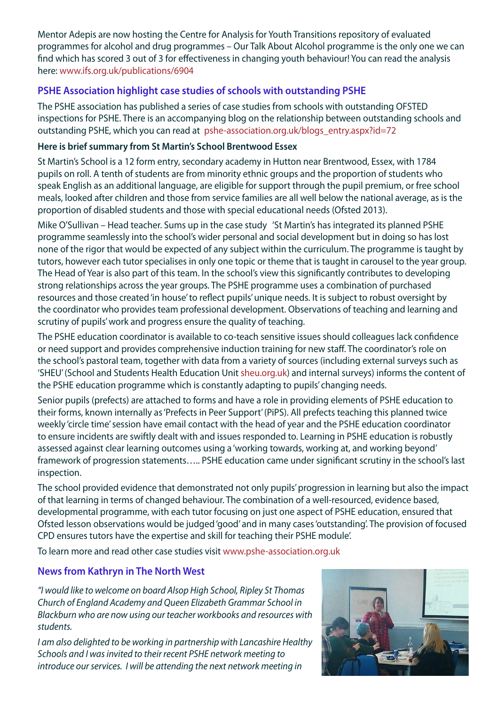Mentor Adepis are now hosting the Centre for Analysis for Youth Transitions repository of evaluated programmes for alcohol and drug programmes – Our Talk About Alcohol programme is the only one we can find which has scored 3 out of 3 for effectiveness in changing youth behaviour! You can read the analysis here: [www.ifs.org.uk/publications/6904](http://www.ifs.org.uk/publications/6904)

### **PSHE Association highlight case studies of schools with outstanding PSHE**

The PSHE association has published a series of case studies from schools with outstanding OFSTED inspections for PSHE. There is an accompanying blog on the relationship between outstanding schools and outstanding PSHE, which you can read at [pshe-association.org.uk/blogs\\_entry.aspx?id=72]( https://pshe-association.org.uk/blogs_entry.aspx?id=72&dm_i=HSS,3FS3U,FKMEHL,CAYLE,1)

#### **Here is brief summary from St Martin's School Brentwood Essex**

St Martin's School is a 12 form entry, secondary academy in Hutton near Brentwood, Essex, with 1784 pupils on roll. A tenth of students are from minority ethnic groups and the proportion of students who speak English as an additional language, are eligible for support through the pupil premium, or free school meals, looked after children and those from service families are all well below the national average, as is the proportion of disabled students and those with special educational needs (Ofsted 2013).

Mike O'Sullivan – Head teacher. Sums up in the case study 'St Martin's has integrated its planned PSHE programme seamlessly into the school's wider personal and social development but in doing so has lost none of the rigor that would be expected of any subject within the curriculum. The programme is taught by tutors, however each tutor specialises in only one topic or theme that is taught in carousel to the year group. The Head of Year is also part of this team. In the school's view this significantly contributes to developing strong relationships across the year groups. The PSHE programme uses a combination of purchased resources and those created'in house'to reflect pupils'unique needs. It is subject to robust oversight by the coordinator who provides team professional development. Observations of teaching and learning and scrutiny of pupils'work and progress ensure the quality of teaching.

The PSHE education coordinator is available to co-teach sensitive issues should colleagues lack confidence or need support and provides comprehensive induction training for new staff. The coordinator's role on the school's pastoral team, together with data from a variety of sources (including external surveys such as 'SHEU'(School and Students Health Education Unit [sheu.org.uk](http://sheu.org.uk)) and internal surveys) informs the content of the PSHE education programme which is constantly adapting to pupils' changing needs.

Senior pupils (prefects) are attached to forms and have a role in providing elements of PSHE education to their forms, known internally as'Prefects in Peer Support'(PiPS). All prefects teaching this planned twice weekly 'circle time'session have email contact with the head of year and the PSHE education coordinator to ensure incidents are swiftly dealt with and issues responded to. Learning in PSHE education is robustly assessed against clear learning outcomes using a 'working towards, working at, and working beyond' framework of progression statements….. PSHE education came under significant scrutiny in the school's last inspection.

The school provided evidence that demonstrated not only pupils'progression in learning but also the impact of that learning in terms of changed behaviour. The combination of a well-resourced, evidence based, developmental programme, with each tutor focusing on just one aspect of PSHE education, ensured that Ofsted lesson observations would be judged'good' and in many cases'outstanding'. The provision of focused CPD ensures tutors have the expertise and skill for teaching their PSHE module'.

To learn more and read other case studies visit [www.pshe-association.org.uk](http://www.pshe-association.org.uk)

#### **News from Kathryn in The North West**

*"I would like to welcome on board Alsop High School, Ripley St Thomas Church of England Academy and Queen Elizabeth Grammar School in Blackburn who are now using our teacher workbooks and resources with students.* 

*I am also delighted to be working in partnership with Lancashire Healthy Schools and I was invited to their recent PSHE network meeting to introduce our services. I will be attending the next network meeting in*